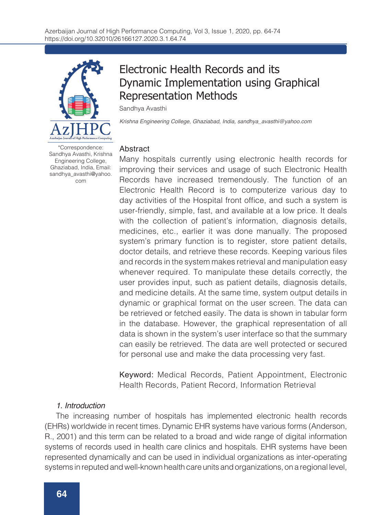

Electronic Health Records and its Dynamic Implementation using Graphical Representation Methods

Sandhya Avasthi

*Krishna Engineering College, Ghaziabad, India, sandhya\_avasthi@yahoo.com*

#### **Abstract**

Many hospitals currently using electronic health records for improving their services and usage of such Electronic Health Records have increased tremendously. The function of an Electronic Health Record is to computerize various day to day activities of the Hospital front office, and such a system is user-friendly, simple, fast, and available at a low price. It deals with the collection of patient's information, diagnosis details, medicines, etc., earlier it was done manually. The proposed system's primary function is to register, store patient details, doctor details, and retrieve these records. Keeping various files and records in the system makes retrieval and manipulation easy whenever required. To manipulate these details correctly, the user provides input, such as patient details, diagnosis details, and medicine details. At the same time, system output details in dynamic or graphical format on the user screen. The data can be retrieved or fetched easily. The data is shown in tabular form in the database. However, the graphical representation of all data is shown in the system's user interface so that the summary can easily be retrieved. The data are well protected or secured for personal use and make the data processing very fast.

Keyword: Medical Records, Patient Appointment, Electronic Health Records, Patient Record, Information Retrieval

#### *1. Introduction*

The increasing number of hospitals has implemented electronic health records (EHRs) worldwide in recent times. Dynamic EHR systems have various forms (Anderson, R., 2001) and this term can be related to a broad and wide range of digital information systems of records used in health care clinics and hospitals. EHR systems have been represented dynamically and can be used in individual organizations as inter-operating systems in reputed and well-known health care units and organizations, on a regional level,

Sandhya Avasthi, Krishna Engineering College, Ghaziabad, India, Email: sandhya\_avasthi@yahoo. com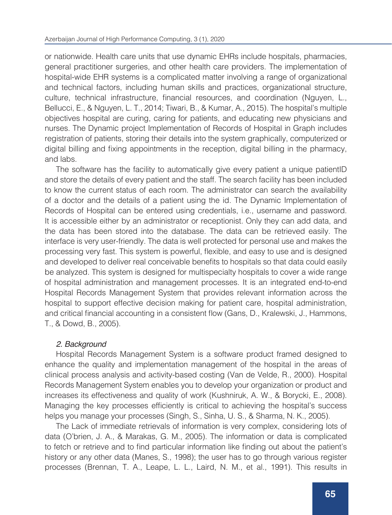or nationwide. Health care units that use dynamic EHRs include hospitals, pharmacies, general practitioner surgeries, and other health care providers. The implementation of hospital-wide EHR systems is a complicated matter involving a range of organizational and technical factors, including human skills and practices, organizational structure, culture, technical infrastructure, financial resources, and coordination (Nguyen, L., Bellucci, E., & Nguyen, L. T., 2014; Tiwari, B., & Kumar, A., 2015). The hospital's multiple objectives hospital are curing, caring for patients, and educating new physicians and nurses. The Dynamic project Implementation of Records of Hospital in Graph includes registration of patients, storing their details into the system graphically, computerized or digital billing and fixing appointments in the reception, digital billing in the pharmacy, and labs.

The software has the facility to automatically give every patient a unique patientID and store the details of every patient and the staff. The search facility has been included to know the current status of each room. The administrator can search the availability of a doctor and the details of a patient using the id. The Dynamic Implementation of Records of Hospital can be entered using credentials, i.e., username and password. It is accessible either by an administrator or receptionist. Only they can add data, and the data has been stored into the database. The data can be retrieved easily. The interface is very user-friendly. The data is well protected for personal use and makes the processing very fast. This system is powerful, flexible, and easy to use and is designed and developed to deliver real conceivable benefits to hospitals so that data could easily be analyzed. This system is designed for multispecialty hospitals to cover a wide range of hospital administration and management processes. It is an integrated end-to-end Hospital Records Management System that provides relevant information across the hospital to support effective decision making for patient care, hospital administration, and critical financial accounting in a consistent flow (Gans, D., Kralewski, J., Hammons, T., & Dowd, B., 2005).

## *2. Background*

Hospital Records Management System is a software product framed designed to enhance the quality and implementation management of the hospital in the areas of clinical process analysis and activity-based costing (Van de Velde, R., 2000). Hospital Records Management System enables you to develop your organization or product and increases its effectiveness and quality of work (Kushniruk, A. W., & Borycki, E., 2008). Managing the key processes efficiently is critical to achieving the hospital's success helps you manage your processes (Singh, S., Sinha, U. S., & Sharma, N. K., 2005).

The Lack of immediate retrievals of information is very complex, considering lots of data (O'brien, J. A., & Marakas, G. M., 2005). The information or data is complicated to fetch or retrieve and to find particular information like finding out about the patient's history or any other data (Manes, S., 1998); the user has to go through various register processes (Brennan, T. A., Leape, L. L., Laird, N. M., et al., 1991). This results in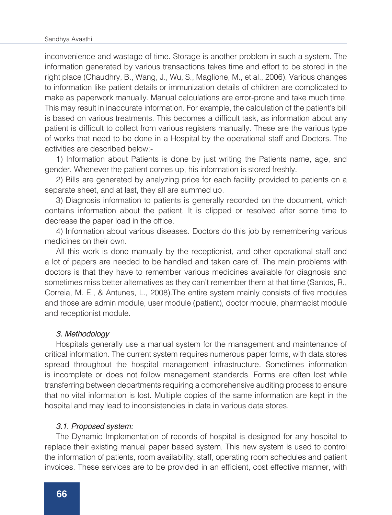inconvenience and wastage of time. Storage is another problem in such a system. The information generated by various transactions takes time and effort to be stored in the right place (Chaudhry, B., Wang, J., Wu, S., Maglione, M., et al., 2006). Various changes to information like patient details or immunization details of children are complicated to make as paperwork manually. Manual calculations are error-prone and take much time. This may result in inaccurate information. For example, the calculation of the patient's bill is based on various treatments. This becomes a difficult task, as information about any patient is difficult to collect from various registers manually. These are the various type of works that need to be done in a Hospital by the operational staff and Doctors. The activities are described below:-

1) Information about Patients is done by just writing the Patients name, age, and gender. Whenever the patient comes up, his information is stored freshly.

2) Bills are generated by analyzing price for each facility provided to patients on a separate sheet, and at last, they all are summed up.

3) Diagnosis information to patients is generally recorded on the document, which contains information about the patient. It is clipped or resolved after some time to decrease the paper load in the office.

4) Information about various diseases. Doctors do this job by remembering various medicines on their own.

All this work is done manually by the receptionist, and other operational staff and a lot of papers are needed to be handled and taken care of. The main problems with doctors is that they have to remember various medicines available for diagnosis and sometimes miss better alternatives as they can't remember them at that time (Santos, R., Correia, M. E., & Antunes, L., 2008).The entire system mainly consists of five modules and those are admin module, user module (patient), doctor module, pharmacist module and receptionist module.

#### *3. Methodology*

Hospitals generally use a manual system for the management and maintenance of critical information. The current system requires numerous paper forms, with data stores spread throughout the hospital management infrastructure. Sometimes information is incomplete or does not follow management standards. Forms are often lost while transferring between departments requiring a comprehensive auditing process to ensure that no vital information is lost. Multiple copies of the same information are kept in the hospital and may lead to inconsistencies in data in various data stores.

#### *3.1. Proposed system:*

The Dynamic Implementation of records of hospital is designed for any hospital to replace their existing manual paper based system. This new system is used to control the information of patients, room availability, staff, operating room schedules and patient invoices. These services are to be provided in an efficient, cost effective manner, with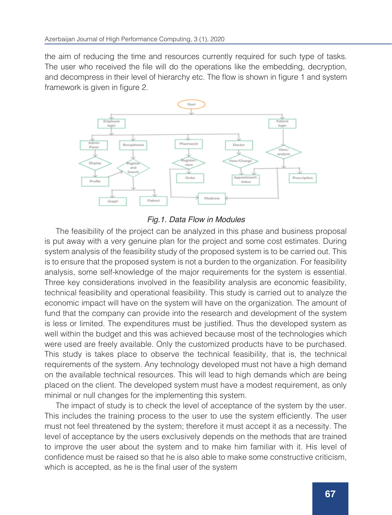the aim of reducing the time and resources currently required for such type of tasks. The user who received the file will do the operations like the embedding, decryption, and decompress in their level of hierarchy etc. The flow is shown in figure 1 and system framework is given in figure 2.



# *Fig.1. Data Flow in Modules*

The feasibility of the project can be analyzed in this phase and business proposal is put away with a very genuine plan for the project and some cost estimates. During system analysis of the feasibility study of the proposed system is to be carried out. This is to ensure that the proposed system is not a burden to the organization. For feasibility analysis, some self-knowledge of the major requirements for the system is essential. Three key considerations involved in the feasibility analysis are economic feasibility, technical feasibility and operational feasibility. This study is carried out to analyze the economic impact will have on the system will have on the organization. The amount of fund that the company can provide into the research and development of the system is less or limited. The expenditures must be justified. Thus the developed system as well within the budget and this was achieved because most of the technologies which were used are freely available. Only the customized products have to be purchased. This study is takes place to observe the technical feasibility, that is, the technical requirements of the system. Any technology developed must not have a high demand on the available technical resources. This will lead to high demands which are being placed on the client. The developed system must have a modest requirement, as only minimal or null changes for the implementing this system.

The impact of study is to check the level of acceptance of the system by the user. This includes the training process to the user to use the system efficiently. The user must not feel threatened by the system; therefore it must accept it as a necessity. The level of acceptance by the users exclusively depends on the methods that are trained to improve the user about the system and to make him familiar with it. His level of confidence must be raised so that he is also able to make some constructive criticism, which is accepted, as he is the final user of the system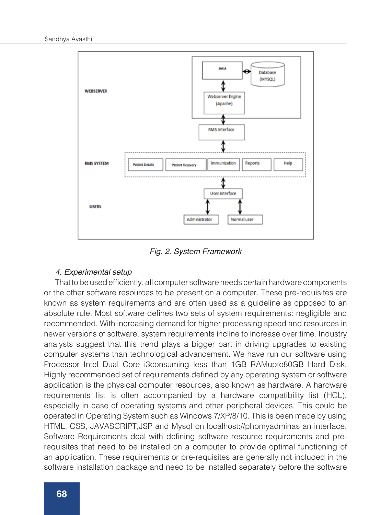

*Fig. 2. System Framework*

#### *4. Experimental setup*

That to be used efficiently, all computer software needs certain hardware components or the other software resources to be present on a computer. These pre-requisites are known as system requirements and are often used as a guideline as opposed to an absolute rule. Most software defines two sets of system requirements: negligible and recommended. With increasing demand for higher processing speed and resources in newer versions of software, system requirements incline to increase over time. Industry analysts suggest that this trend plays a bigger part in driving upgrades to existing computer systems than technological advancement. We have run our software using Processor Intel Dual Core i3consuming less than 1GB RAMupto80GB Hard Disk. Highly recommended set of requirements defined by any operating system or software application is the physical computer resources, also known as hardware. A hardware requirements list is often accompanied by a hardware compatibility list (HCL), especially in case of operating systems and other peripheral devices. This could be operated in Operating System such as Windows 7/XP/8/10. This is been made by using HTML, CSS, JAVASCRIPT,JSP and Mysql on localhost://phpmyadminas an interface. Software Requirements deal with defining software resource requirements and prerequisites that need to be installed on a computer to provide optimal functioning of an application. These requirements or pre-requisites are generally not included in the software installation package and need to be installed separately before the software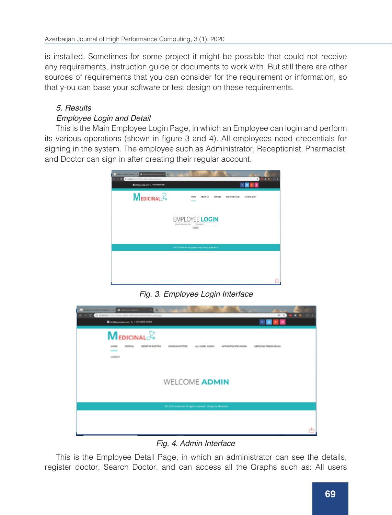is installed. Sometimes for some project it might be possible that could not receive any requirements, instruction guide or documents to work with. But still there are other sources of requirements that you can consider for the requirement or information, so that y-ou can base your software or test design on these requirements.

# *5. Results*

# *Employee Login and Detail*

This is the Main Employee Login Page, in which an Employee can login and perform its various operations (shown in figure 3 and 4). All employees need credentials for signing in the system. The employee such as Administrator, Receptionist, Pharmacist, and Doctor can sign in after creating their regular account.



*Fig. 3. Employee Login Interface*



*Fig. 4. Admin Interface*

This is the Employee Detail Page, in which an administrator can see the details, register doctor, Search Doctor, and can access all the Graphs such as: All users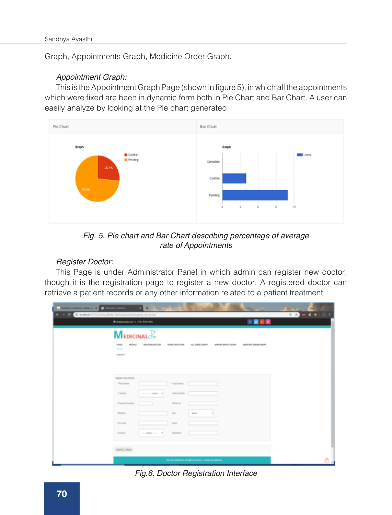Graph, Appointments Graph, Medicine Order Graph.

#### *Appointment Graph:*

This is the Appointment Graph Page (shown in figure 5), in which all the appointments which were fixed are been in dynamic form both in Pie Chart and Bar Chart. A user can easily analyze by looking at the Pie chart generated.



*Fig. 5. Pie chart and Bar Chart describing percentage of average rate of Appointments*

## *Register Doctor:*

This Page is under Administrator Panel in which admin can register new doctor, though it is the registration page to register a new doctor. A registered doctor can retrieve a patient records or any other information related to a patient treatment.

| a braken (subsectionist) : in the annual block of         | ٠                                                                                                                                                             |    |
|-----------------------------------------------------------|---------------------------------------------------------------------------------------------------------------------------------------------------------------|----|
| C C C C ballet UTO Only Mele Address to the process to be | <b>SSEKS 01</b>                                                                                                                                               |    |
|                                                           | 国家利用<br><b>Belldesrykers L. Hill Bill Hill</b>                                                                                                                |    |
|                                                           | <b>MEDICINAL</b><br>(British Book Public<br>ALL VIERO DRUMM<br>APPOINTMENTS GRAPE<br>WEDNING DROOM GENERA<br>PROFILE<br><b>RESIDENT</b> DOCTOR<br><b>HOME</b> |    |
|                                                           | $\overline{\phantom{a}}$<br>LODDUT                                                                                                                            |    |
|                                                           |                                                                                                                                                               |    |
|                                                           | <b>Register New Blvdtor</b><br>Fuel Asses:<br><b>Mind Forms</b>                                                                                               |    |
|                                                           | Plate of Birth<br>A Gentler<br>$-3465 - 1$                                                                                                                    |    |
|                                                           | *Certacinumber<br>Total of                                                                                                                                    |    |
|                                                           | Address<br><b>GM</b><br>text.                                                                                                                                 |    |
|                                                           | <b>PAIN CHOICE</b><br>Total                                                                                                                                   |    |
|                                                           | Penansyl<br>Country.<br>contract on the con-                                                                                                                  |    |
|                                                           |                                                                                                                                                               |    |
|                                                           | [SAHR] Road]                                                                                                                                                  |    |
|                                                           | An annunctional of spin marrest (longs by desired                                                                                                             | ۵J |

*Fig.6. Doctor Registration Interface*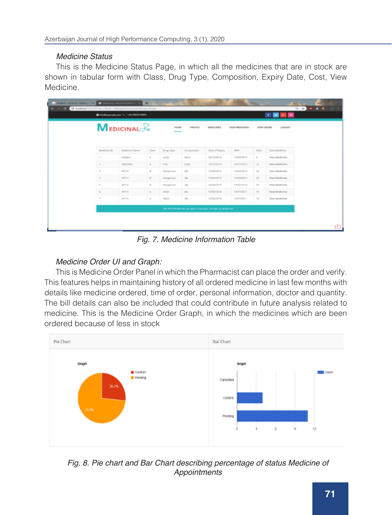#### *Medicine Status*

This is the Medicine Status Page, in which all the medicines that are in stock are shown in tabular form with Class, Drug Type, Composition, Expiry Date, Cost, View Medicine.

| @info@example.com N. +455 6656 54892<br><b>MEDICINAL</b> |                  |                             |                  | PROFILE<br><b>Millercount</b> |                                                              |                   |              | $\begin{array}{c cccccc} t & \text{w} & \text{w} & \text{w} & \text{w} & \text{w} \end{array}$<br><b>VIEW DROER</b><br>USSOLET |  |
|----------------------------------------------------------|------------------|-----------------------------|------------------|-------------------------------|--------------------------------------------------------------|-------------------|--------------|--------------------------------------------------------------------------------------------------------------------------------|--|
| Maska leve (C)                                           | Maskule a Karene | Class.                      | Drug Toyer       | Composition:                  | Date of Equity                                               | APD.              | DOM:         | Virus Medicine                                                                                                                 |  |
| ٠                                                        | Diegove          | A.                          | <b>HOOK</b>      | $16-16$                       | 23/12/2015                                                   | 14/02/2014        | $\sim$       | <b>View Medicines</b>                                                                                                          |  |
| $\sim$                                                   | Aberline         | $\mathcal{M}_\mathrm{c}$    | runs.            | 17.744                        | ANTIQUOS.                                                    | <b>PAYER ROLL</b> | <b>TIME</b>  | View Marketten                                                                                                                 |  |
| $\mathcal{L}$                                            | AKT-4            | $\sim$                      | <b>Dangerous</b> | allow.                        | 14/04/2015                                                   | 14/02/2014        | $200$        | View Medicines                                                                                                                 |  |
| $\alpha$                                                 | AK1-4            | $\sim$                      | Dangerous        | $p\bar{q}_N$                  | 14/94/2015                                                   | 14/02/2014        | $25^{\circ}$ | View Medicines                                                                                                                 |  |
| $\leq$                                                   | ART-A            | $\alpha$                    | Ourgansus        | ake.                          | LAGAZION.                                                    | Larticit Irin at  | $\sim$       | View Medicines                                                                                                                 |  |
| $\sim$                                                   | AKT 41           | $\mathcal{N}_\text{c}$      | Ashalta          | $\mathcal{A}$                 | 13/02/2018                                                   | <b>EDVELODER</b>  | 142          | Virus Medicines                                                                                                                |  |
| $\tau$                                                   | AKT-4            | $\mathcal{N}_{\mathcal{N}}$ | Adult:           | $10\times$                    | 13/03/3018                                                   | 12/11/2011        | 100          | View Medicines                                                                                                                 |  |
|                                                          |                  |                             |                  |                               | Alli 2015 Modernal, All rights reserved   Design by Modernal |                   |              |                                                                                                                                |  |

*Fig. 7. Medicine Information Table*

# *Medicine Order UI and Graph:*

This is Medicine Order Panel in which the Pharmacist can place the order and verify. This features helps in maintaining history of all ordered medicine in last few months with details like medicine ordered, time of order, personal information, doctor and quantity. The bill details can also be included that could contribute in future analysis related to medicine. This is the Medicine Order Graph, in which the medicines which are been ordered because of less in stock



*Fig. 8. Pie chart and Bar Chart describing percentage of status Medicine of Appointments*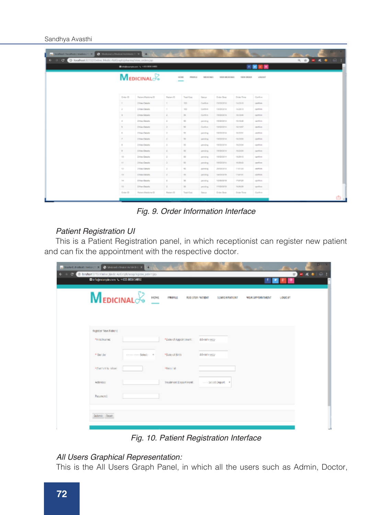#### Sandhya Avasthi

| Contrast (Northern Federal) N. C. Michael a Medical Andrews N. X. |               | ×                               |                |                                                                                                                                                                                                                                                                                                                                                                 |                   |                     |                   |                 |  | <b>DW X</b> |
|-------------------------------------------------------------------|---------------|---------------------------------|----------------|-----------------------------------------------------------------------------------------------------------------------------------------------------------------------------------------------------------------------------------------------------------------------------------------------------------------------------------------------------------------|-------------------|---------------------|-------------------|-----------------|--|-------------|
| C G G G loshot 3773/Osine Medic AltGrahiphama/view.orden.jp       |               | <b>Beldesrates V 19790 1983</b> | 先 合<br>国国大国    | $-4.01$                                                                                                                                                                                                                                                                                                                                                         |                   |                     |                   |                 |  |             |
|                                                                   |               | <b>MEDICINAL</b> <sub>2</sub>   |                | HOM.<br>PROFILE                                                                                                                                                                                                                                                                                                                                                 | MEDICALES         | VIOLENCIALS.        | HIGH DROCK        | <b>VALOUT</b>   |  |             |
|                                                                   | Draw O        | Farlant Madisina (D)            | Fariano (E)    | Total Cost                                                                                                                                                                                                                                                                                                                                                      | Terrors           | Drive Bens          | <b>Doler Time</b> | Confirm         |  |             |
|                                                                   | i s           | <b>Jillian Detector</b>         | $\mathbb{R}^+$ | 100                                                                                                                                                                                                                                                                                                                                                             | Conferent         | <b>TARNOTAL</b>     | 142318            | standium.       |  |             |
|                                                                   | $\frac{1}{2}$ | 2 Harr Centers                  | ٠              | $\frac{1}{2} \sum_{i=1}^{n} \frac{1}{2} \sum_{j=1}^{n} \frac{1}{2} \sum_{j=1}^{n} \frac{1}{2} \sum_{j=1}^{n} \frac{1}{2} \sum_{j=1}^{n} \frac{1}{2} \sum_{j=1}^{n} \frac{1}{2} \sum_{j=1}^{n} \frac{1}{2} \sum_{j=1}^{n} \frac{1}{2} \sum_{j=1}^{n} \frac{1}{2} \sum_{j=1}^{n} \frac{1}{2} \sum_{j=1}^{n} \frac{1}{2} \sum_{j=1}^{n} \frac{1}{2} \sum_{j=1}^{n$ | Conferent         | <b>HARVOTH</b>      | 142818            | cartices.       |  |             |
|                                                                   | $\sim$        | Josepheren                      | $\sim$         | $\sim$                                                                                                                                                                                                                                                                                                                                                          | Garden.           | Hinda Grim.         | <b>HARAS</b>      | particular      |  |             |
|                                                                   | $\sim$        | I may done to                   | $\mathbb{R}$   | $\sim$                                                                                                                                                                                                                                                                                                                                                          | participants.     | <b>Hardistories</b> | 1518.02           | and then        |  |             |
|                                                                   | $\sim$        | <b>International</b>            | $\sim$         | $\sim$                                                                                                                                                                                                                                                                                                                                                          | <b>Conference</b> | <b>NUMBER</b>       | <b>NAMARY</b>     | and in          |  |             |
|                                                                   | $\sim$        | <b>Tiles Details</b>            | $\sim$         | $\sim$                                                                                                                                                                                                                                                                                                                                                          | pointing          | 18/07/07 A          | 14.25.52          | <b>CASTLINE</b> |  |             |
|                                                                   | $\sim$        | [ Way Datello                   | $\sim$         | $\mathbb{R}^2$                                                                                                                                                                                                                                                                                                                                                  | pointing          | 18/0/2014           | 14/3.58           | cipitation.     |  |             |
|                                                                   | $\sim$        | <b>Tiley Deterle</b>            | ×              | ×                                                                                                                                                                                                                                                                                                                                                               | product           | <b>INDIVIA</b>      | 14/3.04           | spritten.       |  |             |
|                                                                   | $\sim$        | <b>I Hay Deale</b>              | $\sim$         | $\mathbb{R}^2$                                                                                                                                                                                                                                                                                                                                                  | presing.          | <b>INSIDER</b>      | 142324            | spoken.         |  |             |
|                                                                   | $\sim$        | 2 Hay Greek                     | $\mathbb{Z}$   | ×                                                                                                                                                                                                                                                                                                                                                               | persing.          | Holly D2+           | HAHA              | specificate.    |  |             |
|                                                                   | $\sim$        | <b>Johns Genete</b>             | $\geq$         | $\sim$                                                                                                                                                                                                                                                                                                                                                          | pending.          | Helinbird           | HAMAZ             | and on          |  |             |
|                                                                   | $\sim$        | <b><i>Internet</i></b>          | ×              | $\sim$                                                                                                                                                                                                                                                                                                                                                          | particip          | <b>Jenisrana</b>    | F14120            | Jackson,        |  |             |
|                                                                   | 12            | <b>Links Directo</b>            | $\sim$         | $\sim$                                                                                                                                                                                                                                                                                                                                                          | panding           | <b>SARRING</b>      | 114151            | <b>CASTLIN</b>  |  |             |
|                                                                   | $\sim$        | <b>Elias Deale</b>              | $\mathbb R$    | $\mathbb{N}$                                                                                                                                                                                                                                                                                                                                                    | perding           | 10/07/17            | 158528            | option.         |  |             |
|                                                                   | <b>IS</b>     | [ Ways Datable                  | $\mathbb{R}$   | $\mathbb{R}^n$                                                                                                                                                                                                                                                                                                                                                  | product.          | 1.5 morphos         | 14.56.58          | spelling.       |  |             |
|                                                                   | Draw (D)      | Faters Madride (S)              | Fataro III     | Total Cost                                                                                                                                                                                                                                                                                                                                                      | Territori         | Drive Bene          | Goles Tony        | Confirm         |  |             |
|                                                                   |               |                                 |                |                                                                                                                                                                                                                                                                                                                                                                 |                   |                     |                   |                 |  |             |

*Fig. 9. Order Information Interface*

## *Patient Registration UI*

This is a Patient Registration panel, in which receptionist can register new patient and can fix the appointment with the respective doctor.

| <b>Convenience</b> (week) X <b>Convenience</b> enter LX +<br>0 G C Inster VIV/Min Mob Arizologing in unicopy<br>Sinhspearakers / + 05 850 5850 |                        |                                                  |                                          |                      | ■ ● < ● I ④ I   |
|------------------------------------------------------------------------------------------------------------------------------------------------|------------------------|--------------------------------------------------|------------------------------------------|----------------------|-----------------|
| $M$ edicinal $\mathbb{R}$                                                                                                                      | HONE<br><b>COLLEGE</b> | PROFILE                                          | <b>RIG STEE PATIENT</b><br>SURIDITATIONT | <b>MENTHLIGHTMEN</b> | <b>LOGICUST</b> |
| Register New Federal<br>*First Name:                                                                                                           |                        | *East of Appointment.                            | dd-nen-yyyy                              |                      |                 |
| * Sender                                                                                                                                       | ---------- Select- - * | * Base of Birth                                  | dd-nem-yyyy                              |                      |                 |
| <b>PENNYM REARNS</b><br>Address:                                                                                                               |                        | <b>African M</b><br><b>Insalment Department:</b> | Select Depart F                          |                      |                 |
| Password:<br>Submit Read:                                                                                                                      |                        |                                                  |                                          |                      |                 |
|                                                                                                                                                |                        |                                                  |                                          |                      |                 |

*Fig. 10. Patient Registration Interface*

#### *All Users Graphical Representation:*

This is the All Users Graph Panel, in which all the users such as Admin, Doctor,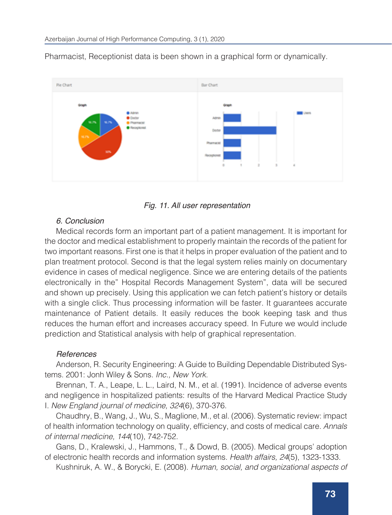

Pharmacist, Receptionist data is been shown in a graphical form or dynamically.



#### *6. Conclusion*

Medical records form an important part of a patient management. It is important for the doctor and medical establishment to properly maintain the records of the patient for two important reasons. First one is that it helps in proper evaluation of the patient and to plan treatment protocol. Second is that the legal system relies mainly on documentary evidence in cases of medical negligence. Since we are entering details of the patients electronically in the" Hospital Records Management System", data will be secured and shown up precisely. Using this application we can fetch patient's history or details with a single click. Thus processing information will be faster. It guarantees accurate maintenance of Patient details. It easily reduces the book keeping task and thus reduces the human effort and increases accuracy speed. In Future we would include prediction and Statistical analysis with help of graphical representation.

#### *References*

Anderson, R. Security Engineering: A Guide to Building Dependable Distributed Systems. 2001: Jonh Wiley & Sons. *Inc., New York.*

Brennan, T. A., Leape, L. L., Laird, N. M., et al. (1991). Incidence of adverse events and negligence in hospitalized patients: results of the Harvard Medical Practice Study I. *New England journal of medicine, 324*(6), 370-376.

Chaudhry, B., Wang, J., Wu, S., Maglione, M., et al. (2006). Systematic review: impact of health information technology on quality, efficiency, and costs of medical care. *Annals of internal medicine, 144*(10), 742-752.

Gans, D., Kralewski, J., Hammons, T., & Dowd, B. (2005). Medical groups' adoption of electronic health records and information systems. *Health affairs, 24*(5), 1323-1333.

Kushniruk, A. W., & Borycki, E. (2008). *Human, social, and organizational aspects of*